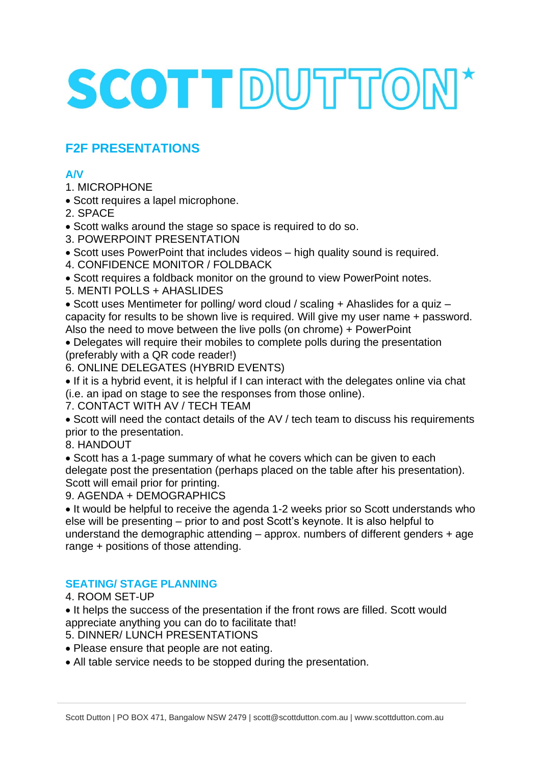# SCOTT DUTTON\*

## **F2F PRESENTATIONS**

#### **A/V**

- 1. MICROPHONE
- Scott requires a lapel microphone.
- 2. SPACE
- Scott walks around the stage so space is required to do so.
- 3. POWERPOINT PRESENTATION
- Scott uses PowerPoint that includes videos high quality sound is required.
- 4. CONFIDENCE MONITOR / FOLDBACK
- Scott requires a foldback monitor on the ground to view PowerPoint notes.
- 5. MENTI POLLS + AHASLIDES

• Scott uses Mentimeter for polling/ word cloud / scaling + Ahaslides for a quiz – capacity for results to be shown live is required. Will give my user name + password. Also the need to move between the live polls (on chrome) + PowerPoint

• Delegates will require their mobiles to complete polls during the presentation (preferably with a QR code reader!)

6. ONLINE DELEGATES (HYBRID EVENTS)

• If it is a hybrid event, it is helpful if I can interact with the delegates online via chat (i.e. an ipad on stage to see the responses from those online).

7. CONTACT WITH AV / TECH TEAM

• Scott will need the contact details of the AV / tech team to discuss his requirements prior to the presentation.

8. HANDOUT

• Scott has a 1-page summary of what he covers which can be given to each delegate post the presentation (perhaps placed on the table after his presentation). Scott will email prior for printing.

9. AGENDA + DEMOGRAPHICS

• It would be helpful to receive the agenda 1-2 weeks prior so Scott understands who else will be presenting – prior to and post Scott's keynote. It is also helpful to understand the demographic attending – approx. numbers of different genders + age range + positions of those attending.

### **SEATING/ STAGE PLANNING**

4. ROOM SET-UP

• It helps the success of the presentation if the front rows are filled. Scott would appreciate anything you can do to facilitate that!

- 5. DINNER/ LUNCH PRESENTATIONS
- Please ensure that people are not eating.
- All table service needs to be stopped during the presentation.